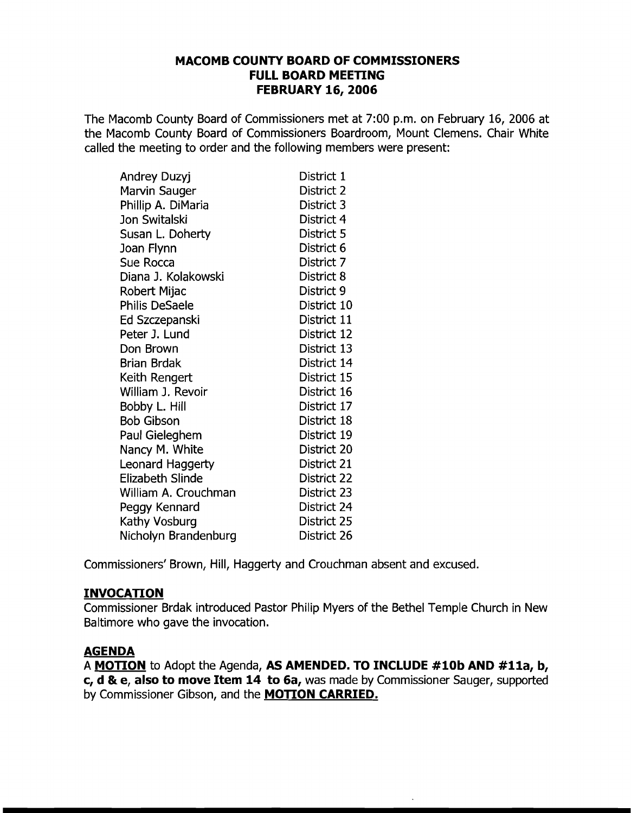### **MACOMB COUNTY BOARD OF COMMISSIONERS FULL BOARD MEETING FEBRUARY 16,2006**

The Macomb County Board of Commissioners met at 7:00 p.m. on February 16, 2006 at the Macomb County Board of Commissioners Boardroom, Mount Clemens. Chair White called the meeting to order and the following members were present:

| Andrey Duzyj            | District 1  |
|-------------------------|-------------|
| Marvin Sauger           | District 2  |
| Phillip A. DiMaria      | District 3  |
| Jon Switalski           | District 4  |
| Susan L. Doherty        | District 5  |
| Joan Flynn              | District 6  |
| Sue Rocca               | District 7  |
| Diana J. Kolakowski     | District 8  |
| Robert Mijac            | District 9  |
| <b>Philis DeSaele</b>   | District 10 |
| Ed Szczepanski          | District 11 |
| Peter J. Lund           | District 12 |
| Don Brown               | District 13 |
| <b>Brian Brdak</b>      | District 14 |
| Keith Rengert           | District 15 |
| William J. Revoir       | District 16 |
| Bobby L. Hill           | District 17 |
| <b>Bob Gibson</b>       | District 18 |
| Paul Gieleghem          | District 19 |
| Nancy M. White          | District 20 |
| <b>Leonard Haggerty</b> | District 21 |
| <b>Elizabeth Slinde</b> | District 22 |
| William A. Crouchman    | District 23 |
| Peggy Kennard           | District 24 |
| Kathy Vosburg           | District 25 |
| Nicholyn Brandenburg    | District 26 |

Commissioners' Brown, Hill, Haggerty and Crouchman absent and excused.

# **INVOCATION**

Commissioner Brdak introduced Pastor Philip Myers of the Bethel Temple Church in New Baltimore who gave the invocation.

### **AGENDA**

A **MOTION** to Adopt the Agenda, **AS AMENDED. TO INCLUDE #10b AND #lla, b, c, d &. e, also to move Item 14 to 6a,** was made by Commissioner Sauger, supported by Commissioner Gibson, and the **MOTION CARRIED.**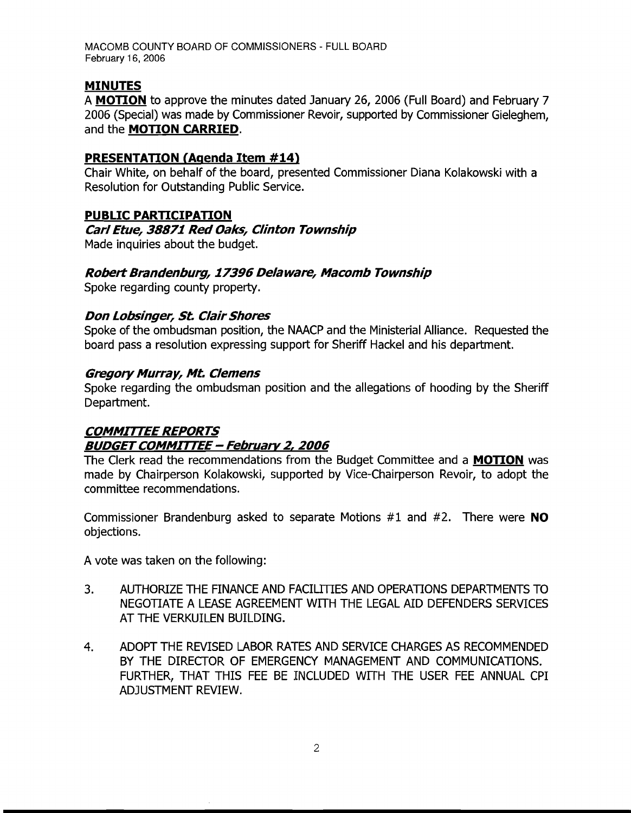### MINUTES

A MOTION to approve the minutes dated January 26, 2006 (Full Board) and February 7 2006 (Special) was made by Commissioner Revoir, supported by Commissioner Gieleghem, and the MOTION CARRIED.

#### PRESENTATION (Agenda Item #14)

Chair White, on behalf of the board, presented Commissioner Diana Kolakowski with a Resolution for Outstanding Public Service.

### PUBLIC PARTICIPATION

## Carl Etue, 38871 Red Oaks, Clinton Township

Made inquiries about the budget.

#### Robert Brandenburg, 17396 Delaware, Macomb Township

Spoke regarding county property.

#### Don Lobsinger, St. Clair Shores

Spoke of the ombudsman position, the NAACP and the Ministerial Alliance. Requested the board pass a resolution expressing support for Sheriff Hackel and his department.

#### Gregory Murray, Mt. Clemens

Spoke regarding the ombudsman position and the allegations of hooding by the Sheriff Department.

# **COMMITTEE REPORTS** BUDGET COMMITTEE - February 2, 2006

The Clerk read the recommendations from the Budget Committee and a MOTION was made by Chairperson Kolakowski, supported by Vice-Chairperson Revoir, to adopt the committee recommendations.

Commissioner Brandenburg asked to separate Motions  $#1$  and  $#2$ . There were **NO** objections.

A vote was taken on the following:

- 3. AUTHORIZE THE FINANCE AND FACIUTIES AND OPERATIONS DEPARTMENTS TO NEGOTIATE A LEASE AGREEMENT WITH THE LEGAL AID DEFENDERS SERVICES AT THE VERKUILEN BUILDING.
- 4. ADOPT THE REVISED LABOR RATES AND SERVICE CHARGES AS RECOMMENDED BY THE DIRECTOR OF EMERGENCY MANAGEMENT AND COMMUNICATIONS. FURTHER, THAT THIS FEE BE INCLUDED WITH THE USER FEE ANNUAL CPI ADJUSTMENT REVIEW.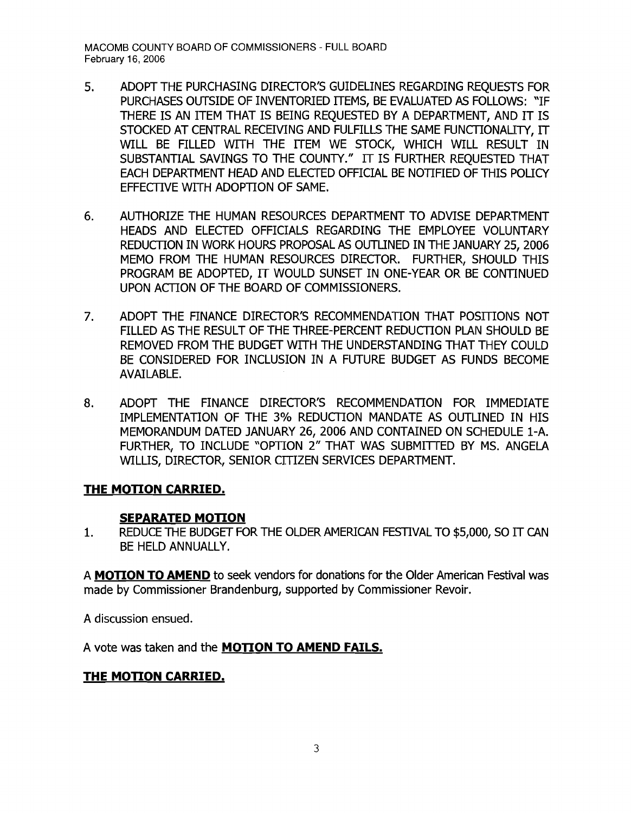- 5. ADOPT THE PURCHASING DIRECTOR'S GUIDELINES REGARDING REQUESTS FOR PURCHASES OUTSIDE OF INVENTORIED ITEMS, BE EVALUATED AS FOLLOWS: "IF THERE IS AN ITEM THAT IS BEING REQUESTED BY A DEPARTMENT, AND IT IS STOCKED AT CENTRAL RECEIVING AND FULFILLS THE SAME FUNCTIONALITY, IT WILL BE FILLED WITH THE ITEM WE STOCK, WHICH WILL RESULT IN SUBSTANTIAL SAVINGS TO THE COUNTY." IT IS FURTHER REQUESTED THAT EACH DEPARTMENT HEAD AND ELECTED OFFICIAL BE NOTIFIED OF THIS POLICY EFFECTIVE WITH ADOPTION OF SAME.
- 6. AUTHORIZE THE HUMAN RESOURCES DEPARTMENT TO ADVISE DEPARTMENT HEADS AND ELECTED OFFICIALS REGARDING THE EMPLOYEE VOLUNTARY REDUCTION IN WORK HOURS PROPOSAL AS OUTLINED IN THE JANUARY 25, 2006 MEMO FROM THE HUMAN RESOURCES DIRECTOR. FURTHER, SHOULD THIS PROGRAM BE ADOPTED, IT WOULD SUNSET IN ONE-YEAR OR BE CONTlNUED UPON ACTION OF THE BOARD OF COMMISSIONERS.
- 7. ADOPT THE FINANCE DIRECTOR'S RECOMMENDATION THAT POSITIONS NOT FILLED AS THE RESULT OF THE THREE-PERCENT REDUCTION PLAN SHOULD BE REMOVED FROM THE BUDGET WITH THE UNDERSTANDING THAT THEY COULD BE CONSIDERED FOR INCLUSION IN A FUTURE BUDGET AS FUNDS BECOME AVAILABLE.
- 8. ADOPT THE FINANCE DIRECTOR'S RECOMMENDATION FOR IMMEDIATE IMPLEMENTATION OF THE 3% REDUCTION MANDATE AS OUTLINED IN HIS MEMORANDUM DATED JANUARY 26, 2006 AND CONTAINED ON SCHEDULE i-A. FURTHER, TO INCLUDE "OPTION 2" THAT WAS SUBMITTED BY MS. ANGELA WILLIS, DIRECTOR, SENIOR CITIZEN SERVICES DEPARTMENT.

### **THE MOTION CARRIED.**

### **SEPARATED MOTION**

1. REDUCE THE BUDGET FOR THE OLDER AMERICAN FESTIVAL TO \$5,000, SO IT CAN BE HELD ANNUALLY.

A **MOTION TO AMEND** to seek vendors for donations for the Older American Festival was made by Commissioner Brandenburg, supported by Commissioner Revoir.

A discussion ensued.

A vote was taken and the **MOTION TO AMEND FAILS.** 

### **THE MOTION CARRIED.**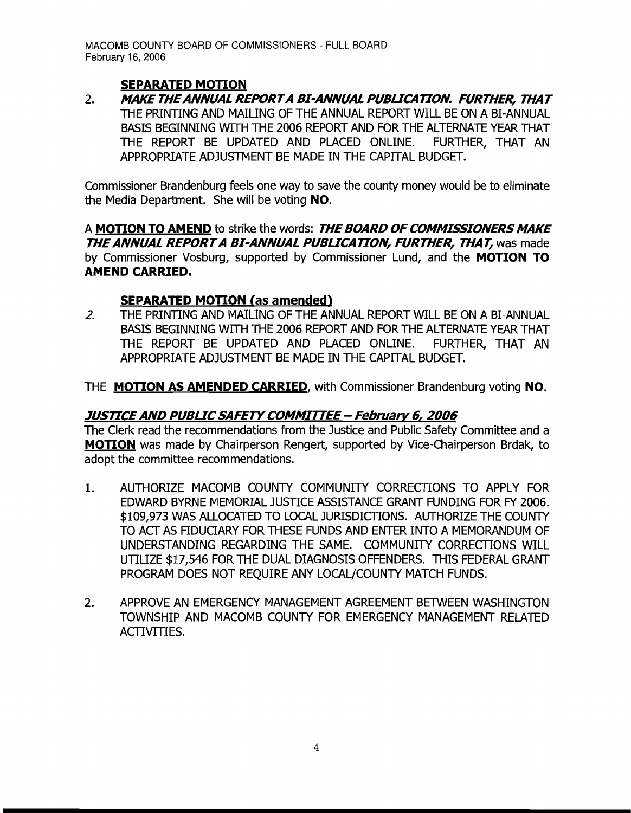# **SEPARATED MOTION**

2. MAKE THE ANNUAL REPORT A BI-ANNUAL PUBLICATION. FURTHER, THAT THE PRlNTING AND MAIUNG OF THE ANNUAL REPORT WILL BE ON A BI-ANNUAL BASIS BEGINNING WITH THE 2006 REPORT AND FOR THE ALTERNATE YEAR THAT THE REPORT BE UPDATED AND PLACED ONLINE. FURTHER, THAT AN APPROPRIATE ADJUSTMENT BE MADE IN THE CAPITAL BUDGET.

Commissioner Brandenburg feels one way to save the county money would be to eliminate the Media Department. She will be voting **NO.** 

A **MOTION TO AMEND** to strike the words: **THE BOARD OFCOMMISSIONERSMAKE THE ANNUAL REPORT A BI-ANNUAL PUBLICATION, FURTHER, THAT, was made** by Commissioner Vosburg, supported by Commissioner Lund, and the **MOTION TO AMEND CARRIED.** 

# **SEPARATED MOTION (as amended)**

2. THE PRINTING AND MAILING OF THE ANNUAL REPORT WILL BE ON A BI-ANNUAL BASIS BEGINNING WITH THE 2006 REPORT AND FOR THE ALTERNATE YEAR THAT THE REPORT BE UPDATED AND PLACED ONLINE. FURTHER, THAT AN APPROPRIATE ADJUSTMENT BE MADE IN THE CAPITAL BUDGET.

THE **MOTION AS AMENDED CARRIED,** with Commissioner Brandenburg voting **NO.** 

# **JUSTICEAND PUBLIC SAFETYCOMMIrrEE - February 6, 2006**

The Clerk read the recommendations from the Justice and Public Safety Committee and a **MOTION** was made by Chairperson Rengert, supported by Vice-Chairperson Brdak, to adopt the committee recommendations.

- 1. AUTHORIZE MACOMB COUNTY COMMUNITY CORRECTIONS TO APPLY FOR EDWARD BYRNE MEMORIAL JUSTICE ASSISTANCE GRANT FUNDING FOR FY 2006. \$109,973 WAS ALLOCATED TO LOCAL JURISDICTIONS. AUTHORIZE THE COUNTY TO ACT AS FIDUCIARY FOR THESE FUNDS AND ENTER INTO A MEMORANDUM OF UNDERSTANDING REGARDING THE SAME. COMMUNITY CORRECTIONS WILL UTILIZE \$17,546 FOR THE DUAL DIAGNOSIS OFFENDERS. THIS FEDERAL GRANT PROGRAM DOES NOT REQUIRE ANY LOCAL/COUNTY MATCH FUNDS.
- 2. APPROVE AN EMERGENCY MANAGEMENT AGREEMENT BETWEEN WASHINGTON TOWNSHIP AND MACOMB COUNTY FOR EMERGENCY MANAGEMENT RELATED ACTIVITIES.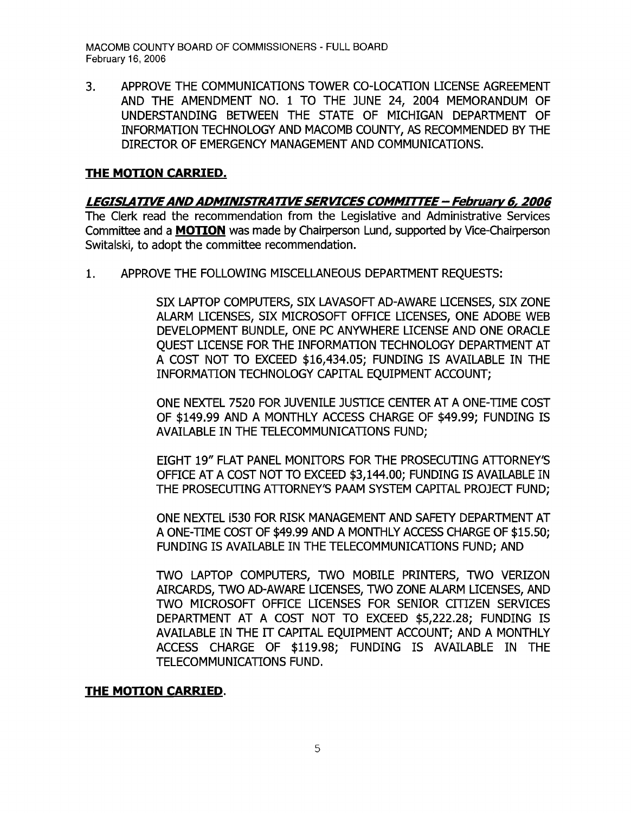3. APPROVE THE COMMUNICATIONS TOWER CO-LOCATION LICENSE AGREEMENT AND THE AMENDMENT NO. 1 TO THE JUNE 24, 2004 MEMORANDUM OF UNDERSTANDING BETWEEN THE STATE OF MICHIGAN DEPARTMENT OF INFORMATION TECHNOLOGY AND MACOMB COUNTY, AS RECOMMENDED BY THE DIRECTOR OF EMERGENCY MANAGEMENT AND COMMUNICATIONS.

#### **THE MOTION CARRIED.**

#### **LEGISLATIVEANDADMINISTRATIVESERVICES COMMITTEE- February 6, 2006**

The Clerk read the recommendation from the Legislative and Administrative Services Committee and a **MOTION** was made by Chairperson Lund, supported by Vice-Chairperson Switalski, to adopt the committee recommendation.

1. APPROVE THE FOLLOWING MISCELLANEOUS DEPARTMENT REQUESTS:

SIX LAPTOP COMPUTERS, SIX LAVASOFT AD-AWARE LICENSES, SIX ZONE ALARM LICENSES, SIX MICROSOFr OFFICE LICENSES, ONE ADOBE WEB DEVELOPMENT BUNDLE, ONE PC ANYWHERE LICENSE AND ONE ORACLE QUEST LICENSE FOR THE INFORMATION TECHNOLOGY DEPARTMENT AT A COST NOT TO EXCEED \$16,434.05; FUNDING IS AVAILABLE IN THE INFORMATION TECHNOLOGY CAPITAL EQUIPMENT ACCOUNT;

ONE NEXTEL 7520 FOR JUVENILE JUSTICE CENTER AT A ONE-TIME COST OF \$149.99 AND A MONTHLY ACCESS CHARGE OF \$49.99; FUNDING IS AVAILABLE IN THE TELECOMMUNICATIONS FUND;

EIGHT 19" FLAT PANEL MONITORS FOR THE PROSECUTING ATTORNEY'S OFFICE AT A COST NOT TO EXCEED \$3,144.00; FUNDING IS AVAILABLE IN THE PROSECUTING ATTORNEY'S PAAM SYSTEM CAPITAL PROJECT FUND;

ONE NEXTEL 1530 FOR RISK MANAGEMENT AND SAFETY DEPARTMENT AT A ONE-TIME COST OF \$49.99 AND A MONTHLY ACCESS CHARGE OF \$15.50; FUNDING IS AVAILABLE IN THE TELECOMMUNICATIONS FUND; AND

TWO LAPTOP COMPUTERS, TWO MOBILE PRINTERS, TWO VERIZON AlRCARDS, TWO AD-AWARE LICENSES, TWO ZONE ALARM LICENSES, AND TWO MICROSOFr OFFICE LICENSES FOR SENIOR CITIZEN SERVICES DEPARTMENT AT A COST NOT TO EXCEED \$5,222.28; FUNDING IS AVAILABLE IN THE IT CAPITAL EQUIPMENT ACCOUNT; AND A MONTHLY ACCESS CHARGE OF \$119.98; FUNDING IS AVAILABLE IN THE TELECOMMUNICATIONS FUND.

#### **THE MOTION CARRIED.**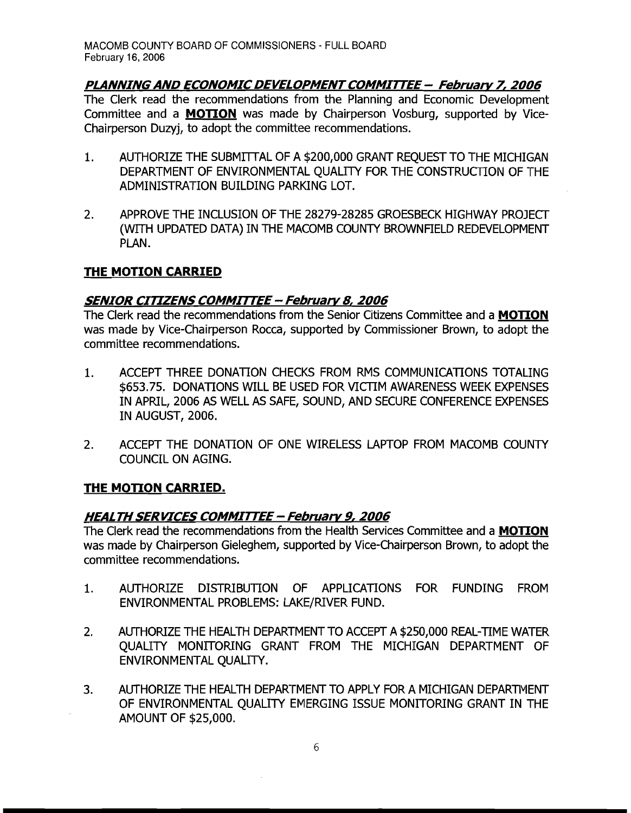# **PLANNING AND ECONOMIC DEVELOPMENT COMMITTEE - February 7, 2006**

The Clerk read the recommendations from the Planning and Economic Development Committee and a **MOTION** was made by Chairperson Vosburg, supported by Vice-Chairperson Duzyj, to adopt the committee recommendations.

- 1. AUTHORIZE THE SUBMITTAL OF A \$200,000 GRANT REOUEST TO THE MICHIGAN DEPARTMENT OF ENVIRONMENTAL QUALITY FOR THE CONSTRUCTION OF THE ADMINISTRATION BUILDING PARKING LOT.
- 2. APPROVE THE INCLUSION OF THE 28279-28285 GROESBECK HIGHWAY PROJECT (WITH UPDATED DATA) IN THE MACOMB COUNTY BROWNFIELD REDEVELOPMENT PLAN.

## **THE MOTION CARRIED**

## **SENIOR CITIZENS COMMITTEE - February 8, 2006**

The Clerk read the recommendations from the Senior Citizens Committee and a **MOTION**  was made by Vice-Chairperson Rocca, supported by Commissioner Brown, to adopt the committee recommendations.

- 1. ACCEPT THREE DONATION CHECKS FROM RMS COMMUNICATIONS TOTALING \$653.75. DONATIONS WILL BE USED FOR VICTIM AWARENESS WEEK EXPENSES IN APRIL, 2006 AS WELL AS SAFE, SOUND, AND SECURE CONFERENCE EXPENSES IN AUGUST, 2006.
- 2. ACCEPT THE DONATION OF ONE WIRELESS LAPTOP FROM MACOMB COUNTY COUNCIL ON AGING.

### **THE MOTION CARRIED.**

### **HEALTH SERVICES COMMITTEE - February 9, 2006**

The Clerk read the recommendations from the Health Services Committee and a **MOTION**  was made by Chairperson Gieleghem, supported by Vice-Chairperson Brown, to adopt the committee recommendations.

- 1. AUTHORIZE DISTRIBUTION OF APPLICATIONS FOR FUNDING FROM ENVIRONMENTAL PROBLEMS: LAKE/RIVER FUND.
- 2. AUTHORIZE THE HEALTH DEPARTMENT TO ACCEPT A \$250,000 REAL-TIME WATER QUALITY MONITORING GRANT FROM THE MICHIGAN DEPARTMENT OF ENVIRONMENTAL QUALITY.
- 3. AUTHORIZE THE HEALTH DEPARTMENT TO APPLY FOR A MICHIGAN DEPARTMENT OF ENVIRONMENTAL QUALITY EMERGING ISSUE MONITORING GRANT IN THE AMOUNT OF \$25,000.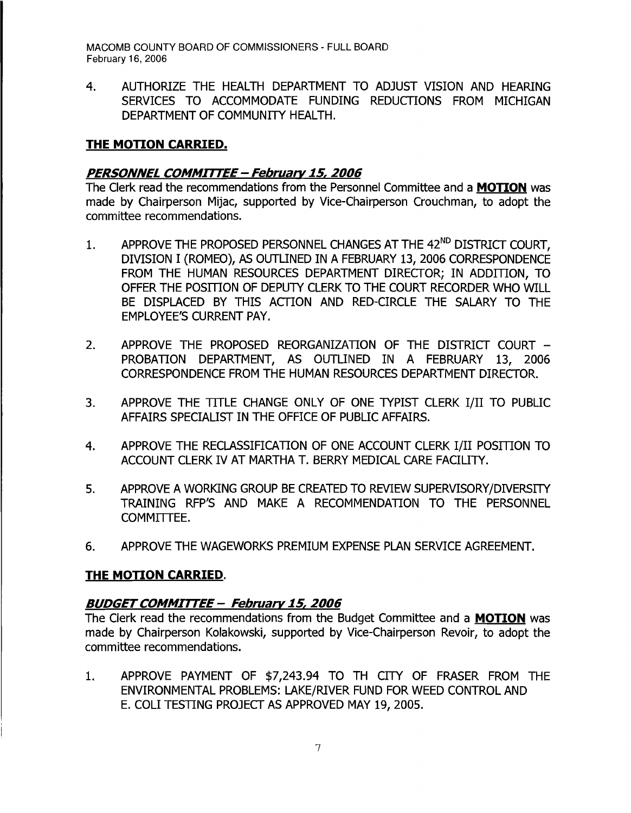4. AUTHORIZE THE HEALTH DEPARTMENT TO ADJUST VISION AND HEARING SERVICES TO ACCOMMODATE FUNDING REDUCTIONS FROM MICHIGAN DEPARTMENT OF COMMUNITY HEALTH.

## **THE MOTION CARRIED.**

#### **PERSONNEL COMMITTEE - February 15, 2006**

The Clerk read the recommendations from the Personnel Committee and a **MOTION** was made by Chairperson Mijac, supported by Vice-Chairperson Crouchman, to adopt the committee recommendations.

- 1. APPROVE THE PROPOSED PERSONNEL CHANGES AT THE 42<sup>ND</sup> DISTRICT COURT, DIVISION I (ROMEO), AS OUTLINED IN A FEBRUARY 13, 2006 CORRESPONDENCE FROM THE HUMAN RESOURCES DEPARTMENT DIRECTOR; IN ADDITION, TO OFFER THE POSITION OF DEPUTY CLERK TO THE COURT RECORDER WHO WILL BE DISPLACED BY THIS ACfION AND RED-CIRCLE THE SALARY TO THE EMPLOYEE'S CURRENT PAY.
- 2. APPROVE THE PROPOSED REORGANIZATION OF THE DISTRICT COURT -PROBATION DEPARTMENT, AS OUTLINED IN A FEBRUARY 13. 2006 CORRESPONDENCE FROM THE HUMAN RESOURCES DEPARTMENT DIRECTOR.
- 3. APPROVE THE TITLE CHANGE ONLY OF ONE TYPIST CLERK I/II TO PUBLIC AFFAIRS SPECIALIST IN THE OFFICE OF PUBLIC AFFAIRS.
- 4. APPROVE THE RECLASSIFICATION OF ONE ACCOUNT CLERK I/II POSITION TO ACCOUNT CLERK IV AT MARTHA T. BERRY MEDICAL CARE FACILITY.
- 5. APPROVE A WORKING GROUP BE CREATED TO REVIEW SUPERVISORY/DIVERSITY TRAINING RFP'S AND MAKE A RECOMMENDATION TO THE PERSONNEL COMMITTEE.
- 6. APPROVE THE WAGEWORKS PREMIUM EXPENSE PLAN SERVICE AGREEMENT.

### **THE MOTION CARRIED.**

### **BUDGETCOMMITTEE - February 15, 2006**

The Clerk read the recommendations from the Budget Committee and a **MOTION** was made by Chairperson Kolakowski, supported by Vice-Chairperson Revoir, to adopt the committee recommendations.

1. APPROVE PAYMENT OF \$7,243.94 TO TH CITY OF FRASER FROM THE ENVIRONMENTAL PROBLEMS: LAKE/RIVER FUND FOR WEED CONTROL AND E. COLI TESTING PROJECT AS APPROVED MAY 19, 2005.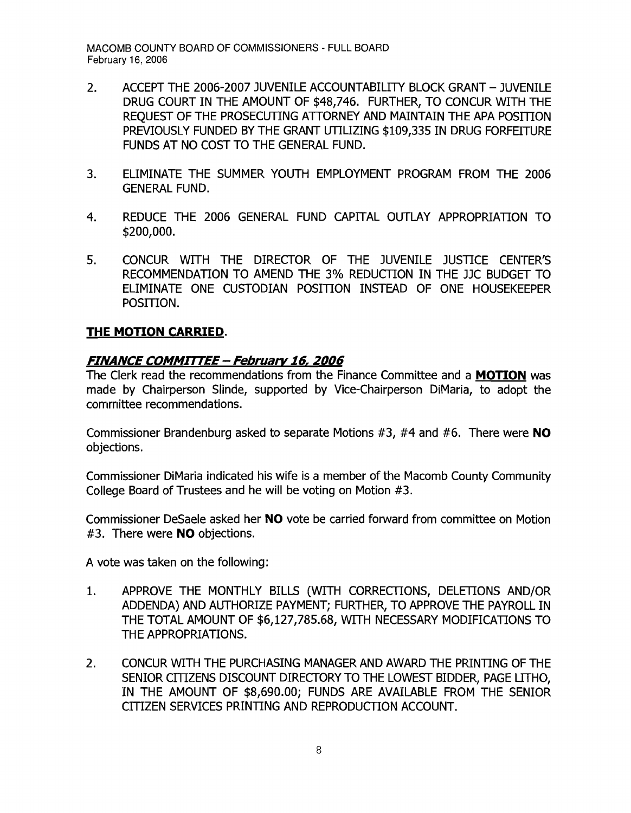- 2. ACCEPT THE 2006-2007 JUVENILE ACCOUNTABILITY BLOCK GRANT JUVENILE DRUG COURT IN THE AMOUNT OF \$48,746. FURTHER, TO CONCUR WITH THE REQUEST OF THE PROSECUTING ATTORNEY AND MAINTAIN THE APA POSITION PREVIOUSLY FUNDED BY THE GRANT UTILIZING \$109,335 IN DRUG FORFEITURE FUNDS AT NO COST TO THE GENERAL FUND.
- 3. ELIMINATE THE SUMMER YOUTH EMPLOYMENT PROGRAM FROM THE 2006 GENERAL FUND.
- 4. REDUCE THE 2006 GENERAL FUND CAPITAL OUTLAY APPROPRIATION TO \$200,000.
- 5. CONCUR WITH THE DIRECTOR OF THE JUVENILE JUSTICE CENTER'S RECOMMENDATION TO AMEND THE 3% REDUCTION IN THE JJC BUDGET TO ELIMINATE ONE CUSTODIAN POSITION INSTEAD OF ONE HOUSEKEEPER POSITION.

## **THE MOTION CARRIED.**

### **FINANCE COMMTn"EE - February 16, 2006**

The Clerk read the recommendations from the Finance Committee and a **MOTION** was made by Chairperson Slinde, supported by Vice-Chairperson DiMaria, to adopt the committee recommendations.

Commissioner Brandenburg asked to separate Motions #3, #4 and #6. There were **NO**  objections.

Commissioner DiMaria indicated his wife is a member of the Macomb County Community College Board of Trustees and he will be voting on Motion #3.

Commissioner DeSaele asked her **NO** vote be carried forward from committee on Motion #3. There were **NO** objections.

A vote was taken on the following:

- 1. APPROVE THE MONTHLY BILLS (WITH CORRECTIONS, DELETIONS AND/OR ADDENDA) AND AUTHORIZE PAYMENT; FURTHER, TO APPROVE THE PAYROLL IN THE TOTAL AMOUNT OF \$6,127,785.68, WITH NECESSARY MODIFICATIONS TO THE APPROPRIATIONS.
- 2. CONCUR WITH THE PURCHASING MANAGER AND AWARD THE PRINTING OF THE SENIOR CITIZENS DISCOUNT DIRECTORY TO THE LOWEST BIDDER, PAGE LITHO, IN THE AMOUNT OF \$8,690.00; FUNDS ARE AVAILABLE FROM THE SENIOR CITIZEN SERVICES PRINTING AND REPRODUCTION ACCOUNT.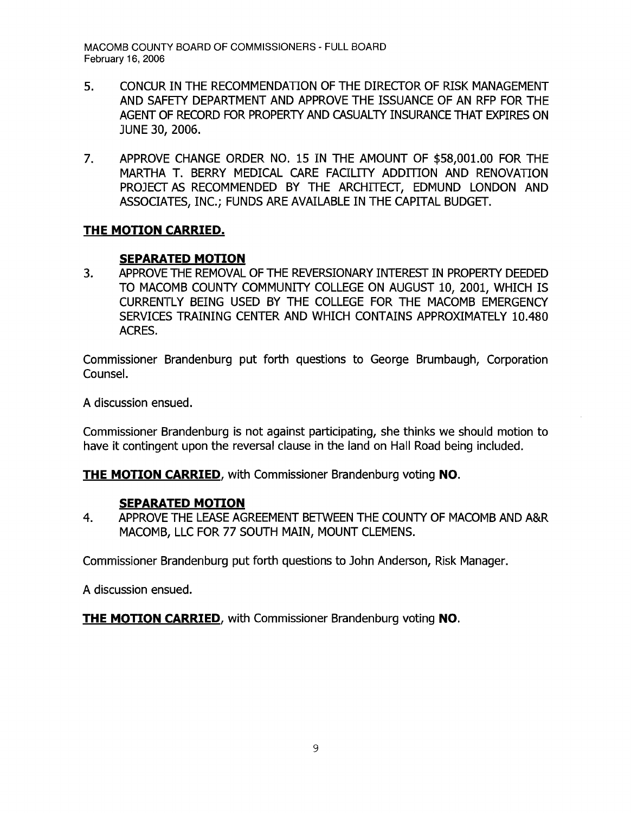- 5. CONCUR IN THE RECOMMENDATION OF THE DIRECTOR OF RISK MANAGEMENT AND SAFETY DEPARTMENT AND APPROVE THE ISSUANCE OF AN RFP FOR THE AGENT OF RECORD FOR PROPERTY AND CASUALTY INSURANCE THAT EXPIRES ON JUNE 30, 2006.
- 7. APPROVE CHANGE ORDER NO. 15 IN THE AMOUNT OF \$58,001.00 FOR THE MARTHA T. BERRY MEDICAL CARE FACILITY ADDITION AND RENOVATION PROJECT AS RECOMMENDED BY THE ARCHITECT, EDMUND LONDON AND ASSOCIATES, INC.; FUNDS ARE AVAILABLE IN THE CAPITAL BUDGET.

#### **THE MOTION CARRIED.**

#### **SEPARATED MOTION**

3. APPROVE THE REMOVAL OF THE REVERSIONARY INTEREST IN PROPERTY DEEDED TO MACOMB COUNTY COMMUNITY COLLEGE ON AUGUST 10, 2001, WHICH IS CURRENTLY BEING USED BY THE COLLEGE FOR THE MACOMB EMERGENCY SERVICES TRAINING CENTER AND WHICH CONTAINS APPROXIMATELY 10.480 ACRES.

Commissioner Brandenburg put forth questions to George Brumbaugh, Corporation Counsel.

A discussion ensued.

Commissioner Brandenburg is not against participating, she thinks we should motion to have it contingent upon the reversal clause in the land on Hall Road being included.

**THE MOTION CARRIED,** with Commissioner Brandenburg voting **NO.** 

### **SEPARATED MOTION**

4. APPROVE THE LEASE AGREEMENT BETWEEN THE COUNTY OF MACOMB AND A&R MACOMB, LLC FOR 77 SOUTH MAIN, MOUNT CLEMENS.

Commissioner Brandenburg put forth questions to John Anderson, Risk Manager.

A discussion ensued.

**THE MOTION CARRIED,** with Commissioner Brandenburg voting **NO.**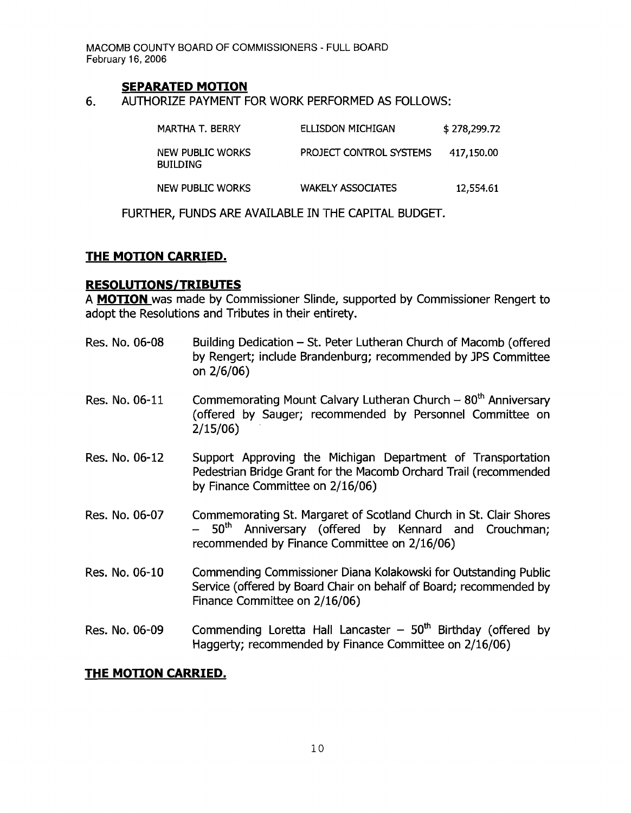#### **SEPARATED MOTION**

6. AUTHORIZE PAYMENT FOR WORK PERFORMED AS FOLLOWS:

| MARTHA T. BERRY                     | ELLISDON MICHIGAN        | \$278,299.72 |
|-------------------------------------|--------------------------|--------------|
| NEW PUBLIC WORKS<br><b>BUILDING</b> | PROJECT CONTROL SYSTEMS  | 417,150.00   |
| NEW PUBLIC WORKS                    | <b>WAKELY ASSOCIATES</b> | 12,554.61    |

FURTHER, FUNDS ARE AVAILABLE IN THE CAPITAL BUDGET.

#### **THE MOTION CARRIED.**

#### **RESOLUTIONS/TRIBUTES**

A **MOTION** was made by Commissioner Slinde, supported by Commissioner Rengert to adopt the Resolutions and Tributes in their entirety.

- Res. No. 06-08 Building Dedication St. Peter Lutheran Church of Macomb (offered by Rengert; include Brandenburg; recommended by JPS Committee on 2/6/06)
- Res. No. 06-11 Commemorating Mount Calvary Lutheran Church  $-80<sup>th</sup>$  Anniversary (offered by Sauger; recommended by Personnel Committee on 2/15/06)
- Res. No. 06-12 Support Approving the Michigan Department of Transportation Pedestrian Bridge Grant for the Macomb Orchard Trail (recommended by Finance Committee on 2/16/06)
- Res. No. 06-07 Commemorating St. Margaret of Scotland Church in St. Clair Shores - 50<sup>th</sup> Anniversary (offered by Kennard and Crouchman; recommended by Finance Committee on 2/16/06)
- Res. No. 06-10 Commending Commissioner Diana Kolakowski for Outstanding Public Service (offered by Board Chair on behalf of Board; recommended by Finance Committee on 2/16/06)
- Res. No. 06-09 Commending Loretta Hall Lancaster  $-50<sup>th</sup>$  Birthday (offered by Haggerty; recommended by Finance Committee on 2/16/06)

### **THE MOTION CARRIED.**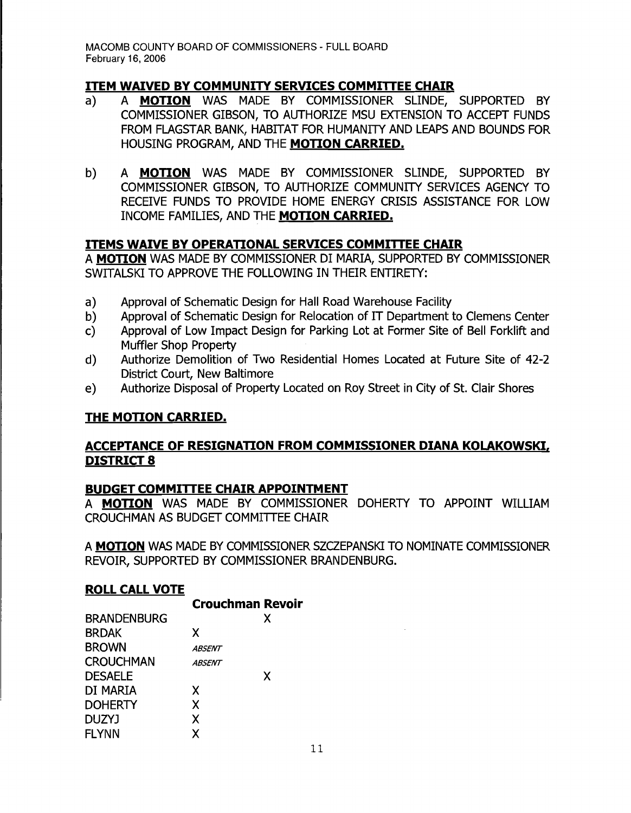# **ITEM WAIVED BY COMMUNITY SERVICES COMMITTEE CHAIR**

- a) A **MOTION** WAS MADE BY COMMISSIONER SLINDE, SUPPORTED BY COMMISSIONER GIBSON, TO AUTHORIZE MSU EXTENSION TO ACCEPT FUNDS FROM FLAGSTAR BANK, HABITAT FOR HUMANITY AND LEAPS AND BOUNDS FOR HOUSING PROGRAM, AND THE **MOTION CARRIED.**
- b) A **MOTION** WAS MADE BY COMMISSIONER SLINDE, SUPPORTED BY COMMISSIONER GIBSON, TO AUTHORIZE COMMUNITY SERVICES AGENCY TO RECEIVE FUNDS TO PROVIDE HOME ENERGY CRISIS ASSISTANCE FOR LOW INCOME FAMILIES, AND THE **MOTION CARRIED.**

### **ITEMS WAIVE BY OPERATIONAL SERVICES COMMITTEE CHAIR**

A **MOTION** WAS MADE BY COMMISSIONER DI MARIA, SUPPORTED BY COMMISSIONER SWITALSKI TO APPROVE THE FOLLOWING IN THEIR ENTIRETY:

- a) Approval of Schematic Design for Hall Road Warehouse Facility
- b) Approval of Schematic Design for Relocation of IT Department to Clemens Center
- c) Approval of Low Impact Design for Parking Lot at Former Site of Bell Forklift and Muffler Shop Property
- d) Authorize Demolition of Two Residential Homes Located at Future Site of 42-2 District Court, New Baltimore
- e) Authorize Disposal of Property Located on Roy Street in City of St. Clair Shores

# **THE MOTION CARRIED.**

## **ACCEPTANCE OF RESIGNATION FROM COMMISSIONER DIANA KOLAKOWSKI, DISTRICT 8**

### **BUDGET COMMITTEE CHAIR APPOINTMENT**

A **MOTION** WAS MADE BY COMMISSIONER DOHERTY TO APPOINT WILLIAM CROUCHMAN AS BUDGET COMMITTEE CHAIR

A **MOTION** WAS MADE BY COMMISSIONER SZCZEPANSKI TO NOMINATE COMMISSIONER REVOIR, SUPPORTED BY COMMISSIONER BRANDENBURG.

### **ROLL CALL VOTE**

|                    | <b>Crouchman Revoir</b> |   |
|--------------------|-------------------------|---|
| <b>BRANDENBURG</b> |                         | х |
| <b>BRDAK</b>       | X                       |   |
| <b>BROWN</b>       | <i><b>ABSENT</b></i>    |   |
| <b>CROUCHMAN</b>   | <b>ABSENT</b>           |   |
| <b>DESAELE</b>     |                         | X |
| DI MARIA           | X                       |   |
| <b>DOHERTY</b>     | X                       |   |
| <b>DUZYJ</b>       | X                       |   |
| <b>FLYNN</b>       | χ                       |   |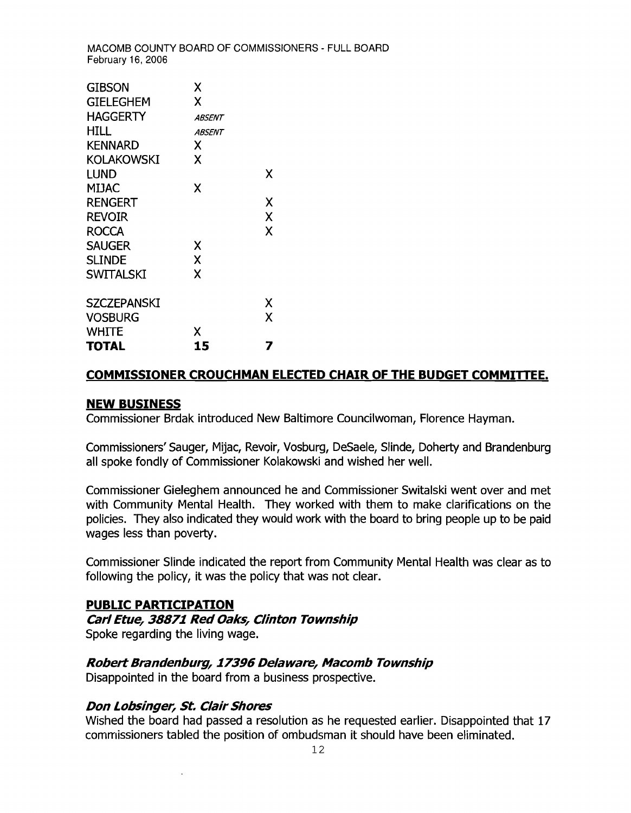| GIBSON<br><b>GIELEGHEM</b><br><b>HAGGERTY</b><br>HILL<br><b>KENNARD</b><br>KOLAKOWSKI<br><b>LUND</b><br><b>MIJAC</b><br><b>RENGERT</b><br><b>REVOIR</b><br><b>ROCCA</b><br><b>SAUGER</b> | χ<br>χ<br><i><b>ABSENT</b></i><br><b>ABSENT</b><br>χ<br>χ<br>Χ<br>Χ | x<br>Χ<br>X<br>X |
|------------------------------------------------------------------------------------------------------------------------------------------------------------------------------------------|---------------------------------------------------------------------|------------------|
| <b>SLINDE</b>                                                                                                                                                                            | X                                                                   |                  |
| <b>SWITALSKI</b>                                                                                                                                                                         | X                                                                   |                  |
| SZCZEPANSKI<br><b>VOSBURG</b><br>WHITE                                                                                                                                                   | x                                                                   | Χ<br>x           |
| TOTAL                                                                                                                                                                                    | 15                                                                  |                  |

#### **COMMISSIONER CROUCHMAN ELECTED CHAIR OF THE BUDGET COMMITTEE.**

#### **NEW BUSINESS**

Commissioner Brdak introduced New Baltimore Councilwoman, Florence Hayman.

Commissioners'Sauger, Mijac, Revoir, Vosburg, DeSaele, Slinde, Doherty and Brandenburg all spoke fondly of Commissioner Kolakowski and wished her well.

Commissioner Gieleghem announced he and Commissioner Switalski went over and met with Community Mental Health. They worked with them to make clarifications on the policies. They also indicated they would work with the board to bring people up to be paid wages less than poverty.

Commissioner Slinde indicated the report from Community Mental Health was clear as to following the policy, it was the policy that was not clear.

#### **PUBLIC PARTICIPATION**

#### **Carl Etue, 38871 Red Oaks, Clinton Township**

Spoke regarding the living wage.

#### **Robert Brandenburg, 17396 Delaware, Macomb Township**

Disappointed in the board from a business prospective.

#### **Don Lobsinger, St. Clair Shores**

Wished the board had passed a resolution as he requested earlier. Disappointed that 17 commissioners tabled the position of ombudsman it should have been eliminated.